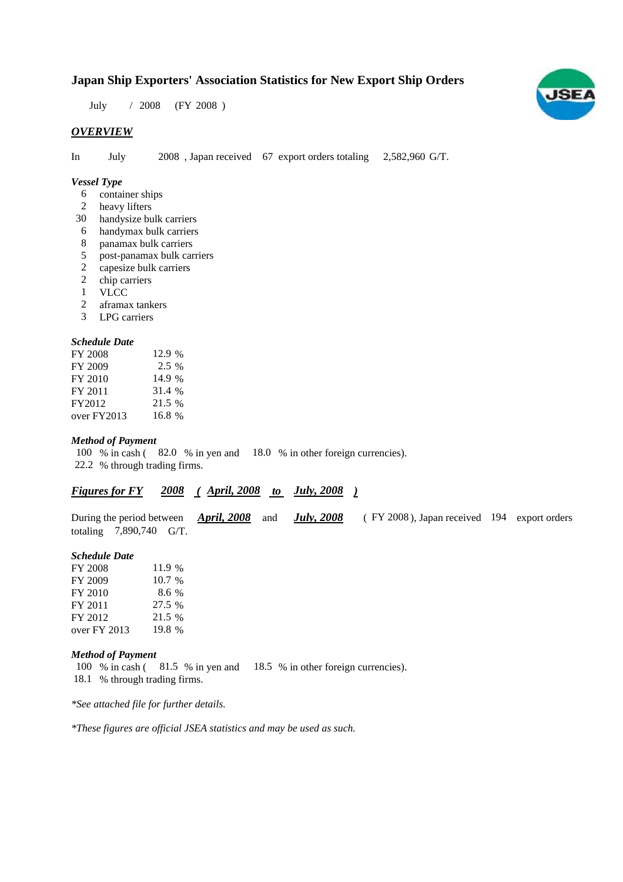# **Japan Ship Exporters' Association Statistics for New Export Ship Orders**

 $/ 2008$  (FY 2008) July 2008

# *OVERVIEW*

In July  $2008$ , Japan received 67 export orders totaling  $2,582,960$  G/T. July

## *Vessel Type*

- container ships 6
- heavy lifters 2
- handysize bulk carriers 30
- handymax bulk carriers 6
- panamax bulk carriers 8
- post-panamax bulk carriers 5
- capesize bulk carriers 2
- 2 chip carriers
- VLCC 1
- aframax tankers 2
- LPG carriers 3

# *Schedule Date*

| FY 2008     | 12.9 %  |
|-------------|---------|
| FY 2009     | $2.5\%$ |
| FY 2010     | 14.9 %  |
| FY 2011     | 31.4 %  |
| FY2012      | 21.5 %  |
| over FY2013 | 16.8 %  |

#### *Method of Payment*

100 % in cash (82.0 % in yen and 18.0 % in other foreign currencies). 22.2 % through trading firms.

## *Figures for FY* 2008 (April, 2008 to July, 2008)

During the period between *April, 2008* and *July, 2008* (FY 2008), Japan received 194 export orders totaling  $7,890,740$  G/T.

#### *Schedule Date*

| FY 2008      | 11.9 % |
|--------------|--------|
| FY 2009      | 10.7%  |
| FY 2010      | 8.6%   |
| FY 2011      | 27.5 % |
| FY 2012      | 21.5 % |
| over FY 2013 | 19.8 % |

#### *Method of Payment*

100 % in cash (81.5 % in yen and 18.5 % in other foreign currencies). 18.1 % through trading firms.

*\*See attached file for further details.*

*\*These figures are official JSEA statistics and may be used as such.*

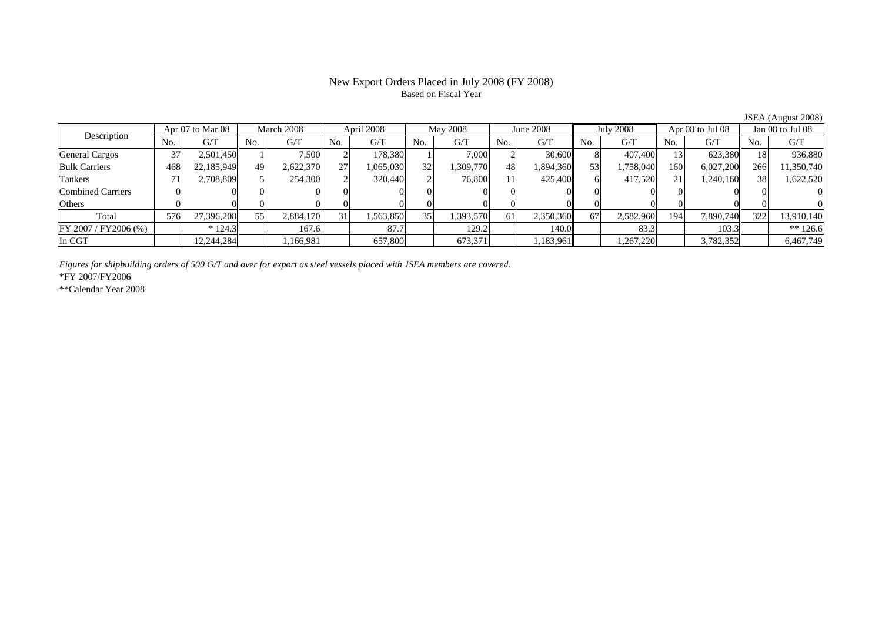# Based on Fiscal Year

No. G/T No. G/T No. G/T No. G/T No. G/T No. G/T No. G/T No. G/TGeneral Cargos ( 37 2,501,450 1 7,500 2 178,380 1 7,000 2 30,600 8 407,400 13 623,380 18 936,880 Bulk Carriers 468 22,185,949 49 2,622,370 27 1,065,030 32 1,309,770 48 1,894,360 53 1,758,040 160 6,027,200 266 11,350,740 Tankers | 71| 2,708,809|| 5| 254,300| 2| 320,440| 2| 76,800| 11| 425,400| 6| 417,520| 21| 1,240,160|| 38| 1,622,520 Combined Carriers 0 0 0 0 0 0 0 0 0 0 0 0 0 0 0 0Others 0 0 0 0 0 0 0 0 0 0 0 0 0 0 0 0 $\mathbf{0}$ Total 576 27,396,208 55 2,884,170 31 1,563,850 35 1,393,570 61 2,350,360 67 2,582,960 194 7,890,740 322 13,910,140  $\boxed{\text{FY 2007 / FY2006 } (\%) }$  \* 124.3 167.6 83.7 87.7 87.7 883.3 8 83.3 8 83.3 In CGT | | 12,244,284| | 1,166,981| | 657,800| | 673,371| | 1,183,961| | 1,267,220| | 3,782,352|| | 6,467,749 Description Apr 07 to Mar 08 March 2008 April 2008 May 2008 May 2008 May 2008 May 2008 May 2008 May 2008 May 2008 May 2008 May 2008 May 2008 May 2008 May 2008 May 2008 May 2008 May 2008 May 2008 May 2008 May 2008 May 2008 Apr 07 to Mar 08 | March 2008 | April 2008 | May 2008 | June 2008 | July 2008 | Apr 08 to Jul 08 || Jan 08 to Jul 08

*Figures for shipbuilding orders of 500 G/T and over for export as steel vessels placed with JSEA members are covered.*

\*FY 2007/FY2006

\*\*Calendar Year 2008

JSEA (August 2008)

# New Export Orders Placed in July 2008 (FY 2008)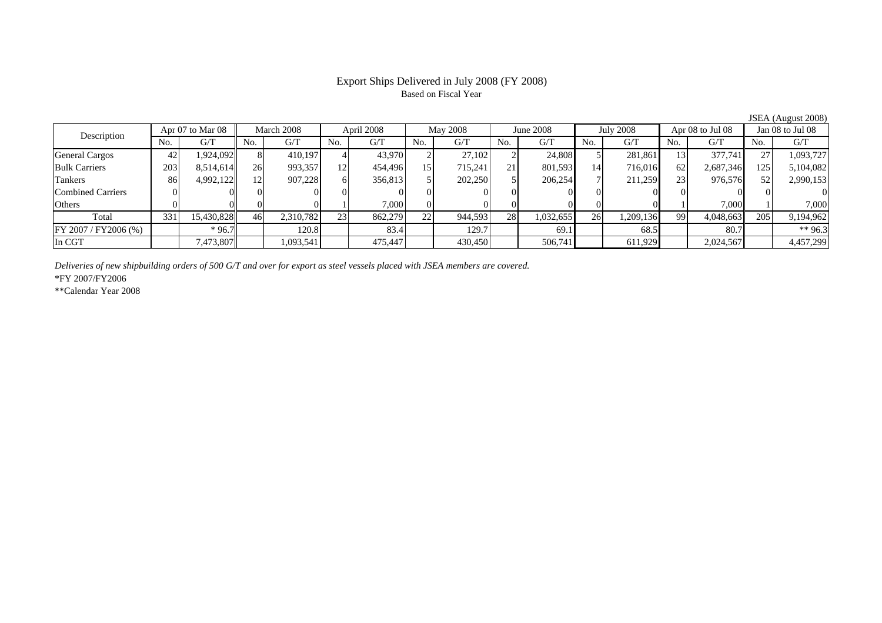### Export Ships Delivered in July 2008 (FY 2008) Based on Fiscal Year

No. I G/T II No. I G/T II No. I G/T II No. I G/T G/T II No. I G/T II No. I G/T II No. I G/T II No. I G/T II No  $G/T$ General Cargos ( 42 1,924,092 8 410,197 4 43,970 2 27,102 2 24,808 5 281,861 13 377,741 27 1,093,727 Bulk Carriers 203 8,514,614 26 993,357 12 454,496 15 715,241 21 801,593 14 716,016 62 2,687,346 125 5,104,082 Tankers | 86 4,992,122 12 907,228 6 356,813 5 202,250 5 206,254 7 211,259 23 976,576 52 2,990,153 Combined Carriers 0 0 0 0 0 0 0 0 0 0 0 0 0 0 0 0Others 0 0 0 0 1 7,000 0 0 0 0 0 0 1 7,000 1 7,000 Total 331 15,430,828 46 2,310,782 23 862,279 22 944,593 28 1,032,655 26 1,209,136 99 4,048,663 205 9,194,962 FY 2007 / FY2006 (%) | \*96.7 | 120.8 | 83.4 | 129.7 | 69.1 | 68.5 | 80.7 | \*\* 96.3 In CGT | | 7,473,807 || | 1,093,541 | | 475,447 | | 430,450 | | 506,741 | | 611,929 | | 2,024,567 | | 4,457,299 Apr 07 to Mar 08 March 2008 April 2008 May 2008 June 2008 July 2008 Apr 08 to Jul 08 Jan 08 to Jul 08 Description

*Deliveries of new shipbuilding orders of 500 G/T and over for export as steel vessels placed with JSEA members are covered.*

\*FY 2007/FY2006

\*\*Calendar Year 2008

JSEA (August 2008)